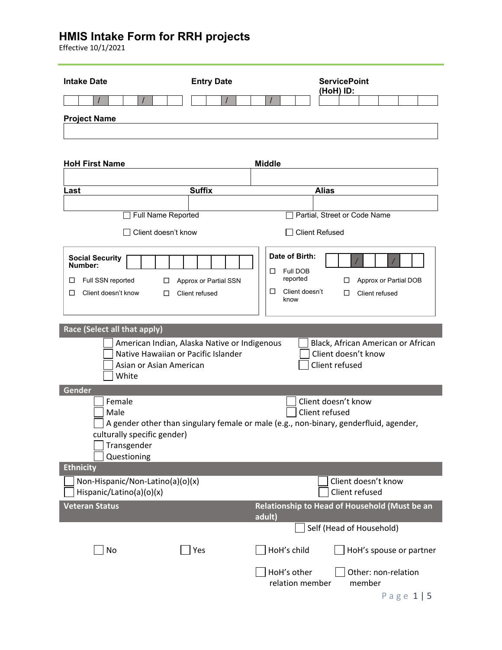Effective 10/1/2021

| <b>Intake Date</b>                                                                                                                                      | <b>Entry Date</b>                       | <b>ServicePoint</b><br>(HoH) ID:                                                                                                |
|---------------------------------------------------------------------------------------------------------------------------------------------------------|-----------------------------------------|---------------------------------------------------------------------------------------------------------------------------------|
|                                                                                                                                                         |                                         |                                                                                                                                 |
| <b>Project Name</b>                                                                                                                                     |                                         |                                                                                                                                 |
|                                                                                                                                                         |                                         |                                                                                                                                 |
|                                                                                                                                                         |                                         |                                                                                                                                 |
| <b>HoH First Name</b>                                                                                                                                   |                                         | <b>Middle</b>                                                                                                                   |
| Last                                                                                                                                                    | <b>Suffix</b>                           | <b>Alias</b>                                                                                                                    |
|                                                                                                                                                         |                                         |                                                                                                                                 |
| Full Name Reported                                                                                                                                      |                                         | Partial, Street or Code Name                                                                                                    |
| Client doesn't know                                                                                                                                     |                                         | <b>Client Refused</b>                                                                                                           |
| <b>Social Security</b><br>Number:<br>Full SSN reported<br>□<br>ப<br>Client doesn't know<br>□<br>□                                                       | Approx or Partial SSN<br>Client refused | Date of Birth:<br>Full DOB<br>□<br>reported<br>Approx or Partial DOB<br>□<br>□<br>Client doesn't<br>Client refused<br>□<br>know |
| Race (Select all that apply)<br>American Indian, Alaska Native or Indigenous<br>Native Hawaiian or Pacific Islander<br>Asian or Asian American<br>White |                                         | Black, African American or African<br>Client doesn't know<br>Client refused                                                     |
| Gender<br>Female<br>Male<br>culturally specific gender)<br>Transgender<br>Questioning                                                                   |                                         | Client doesn't know<br>Client refused<br>A gender other than singulary female or male (e.g., non-binary, genderfluid, agender,  |
| <b>Ethnicity</b>                                                                                                                                        |                                         |                                                                                                                                 |
| Non-Hispanic/Non-Latino(a)(o)(x)<br>Hispanic/Latino(a)(o)(x)                                                                                            |                                         | Client doesn't know<br>Client refused                                                                                           |
| <b>Veteran Status</b>                                                                                                                                   |                                         | Relationship to Head of Household (Must be an<br>adult)                                                                         |
|                                                                                                                                                         |                                         | Self (Head of Household)                                                                                                        |
| No                                                                                                                                                      | Yes                                     | HoH's child<br>HoH's spouse or partner                                                                                          |
|                                                                                                                                                         |                                         | HoH's other<br>Other: non-relation<br>relation member<br>member<br>Page $1 \mid 5$                                              |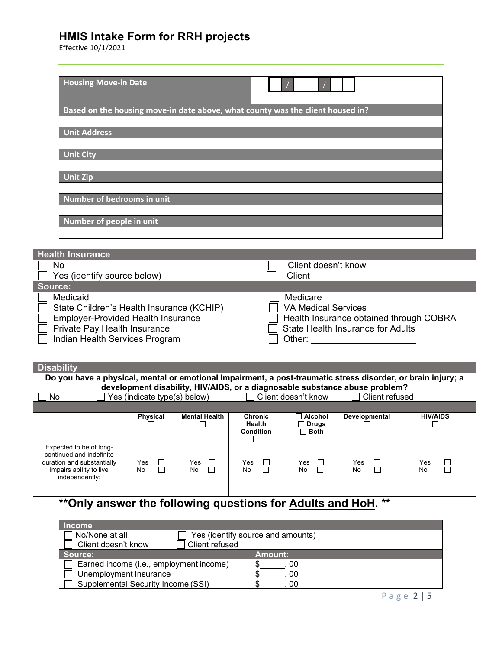Effective 10/1/2021

| <b>Housing Move-in Date</b>          |                                                                                |
|--------------------------------------|--------------------------------------------------------------------------------|
|                                      | Based on the housing move-in date above, what county was the client housed in? |
| <b>Unit Address</b>                  |                                                                                |
| <b>Unit City</b>                     |                                                                                |
| <b>Unit Zip</b>                      |                                                                                |
| Number of bedrooms in unit           |                                                                                |
| Number of people in unit             |                                                                                |
|                                      |                                                                                |
| <b>Health Insurance</b><br><b>No</b> | Client doesn't know                                                            |

| Yes (identify source below)               | Client                                   |
|-------------------------------------------|------------------------------------------|
| Source:                                   |                                          |
| Medicaid                                  | Medicare                                 |
| State Children's Health Insurance (KCHIP) | <b>VA Medical Services</b>               |
| <b>Employer-Provided Health Insurance</b> | Health Insurance obtained through COBRA  |
| Private Pay Health Insurance              | <b>State Health Insurance for Adults</b> |
| Indian Health Services Program            | Other:                                   |
|                                           |                                          |

| <b>Disability</b>                                                                                                              |                                                                                                                                                      |                                 |                                              |                                          |                      |                          |
|--------------------------------------------------------------------------------------------------------------------------------|------------------------------------------------------------------------------------------------------------------------------------------------------|---------------------------------|----------------------------------------------|------------------------------------------|----------------------|--------------------------|
| Do you have a physical, mental or emotional Impairment, a post-traumatic stress disorder, or brain injury; a                   |                                                                                                                                                      |                                 |                                              |                                          |                      |                          |
| No.                                                                                                                            | development disability, HIV/AIDS, or a diagnosable substance abuse problem?<br>Yes (indicate type(s) below)<br>Client refused<br>Client doesn't know |                                 |                                              |                                          |                      |                          |
|                                                                                                                                |                                                                                                                                                      |                                 |                                              |                                          |                      |                          |
|                                                                                                                                | <b>Physical</b>                                                                                                                                      | <b>Mental Health</b>            | <b>Chronic</b><br>Health<br><b>Condition</b> | Alcohol<br><b>Drugs</b><br>$\sqcap$ Both | <b>Developmental</b> | <b>HIV/AIDS</b>          |
| Expected to be of long-<br>continued and indefinite<br>duration and substantially<br>impairs ability to live<br>independently: | Yes<br>$\mathbb{R}^n$<br>No                                                                                                                          | Yes<br>$\mathbf{L}$<br>П<br>No. | Yes<br>No                                    | Yes $\Box$<br>$\Box$<br>No               | Yes<br>П<br>П<br>No  | Yes<br>$\Box$<br>П<br>No |

# **\*\*Only answer the following questions for Adults and HoH. \*\***

| <b>Income</b>                                |                                   |
|----------------------------------------------|-----------------------------------|
| No/None at all                               | Yes (identify source and amounts) |
| Client doesn't know<br><b>Client refused</b> |                                   |
| Source:                                      | Amount:                           |
| Earned income (i.e., employment income)      | 00                                |
| Unemployment Insurance                       | 00                                |
| Supplemental Security Income (SSI)           | 00                                |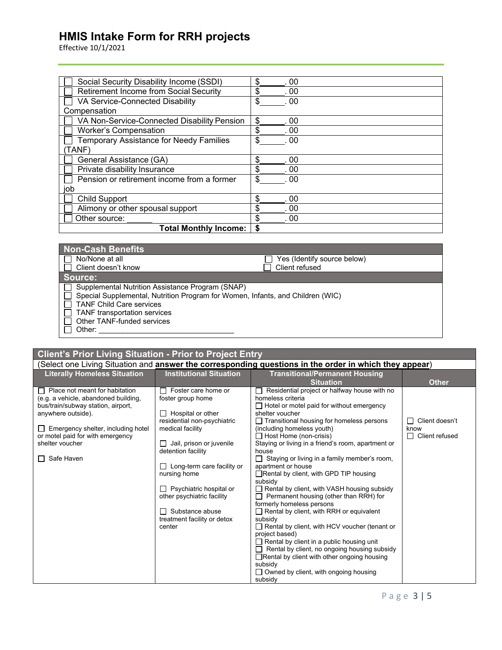Effective 10/1/2021

| Social Security Disability Income (SSDI)       | \$<br>.00  |
|------------------------------------------------|------------|
| Retirement Income from Social Security         | \$<br>.00  |
| VA Service-Connected Disability                | \$<br>.00  |
| Compensation                                   |            |
| VA Non-Service-Connected Disability Pension    | \$<br>.00  |
| <b>Worker's Compensation</b>                   | \$<br>.00  |
| <b>Temporary Assistance for Needy Families</b> | .00        |
| TANF)                                          |            |
| General Assistance (GA)                        | \$<br>.00  |
| Private disability Insurance                   | \$<br>. 00 |
| Pension or retirement income from a former     | \$<br>.00  |
| job                                            |            |
| <b>Child Support</b>                           | \$<br>. 00 |
| Alimony or other spousal support               | \$<br>. 00 |
| Other source:                                  | \$<br>. 00 |
| <b>Total Monthly Income:</b>                   |            |

| <b>Non-Cash Benefits</b>                                                                                                                                                                                                                      |                             |
|-----------------------------------------------------------------------------------------------------------------------------------------------------------------------------------------------------------------------------------------------|-----------------------------|
| No/None at all                                                                                                                                                                                                                                | Yes (Identify source below) |
| Client doesn't know                                                                                                                                                                                                                           | Client refused              |
| Source:                                                                                                                                                                                                                                       |                             |
| Supplemental Nutrition Assistance Program (SNAP)<br>Special Supplemental, Nutrition Program for Women, Infants, and Children (WIC)<br><b>TANF Child Care services</b><br>TANF transportation services<br>Other TANF-funded services<br>Other: |                             |

| Client's Prior Living Situation - Prior to Project Entry |                                     |                         |                                                                                                        |  |  |
|----------------------------------------------------------|-------------------------------------|-------------------------|--------------------------------------------------------------------------------------------------------|--|--|
|                                                          |                                     |                         | (Select one Living Situation and answer the corresponding questions in the order in which they appear) |  |  |
|                                                          | <b>Literally Homeless Situation</b> | Institutional Situation | <b>Transitional/Permanent Housing</b>                                                                  |  |  |
|                                                          |                                     |                         | <b>Situation</b>                                                                                       |  |  |
|                                                          | Place not meant for habitation      | Foster care home or     | Residential project or halfway house with no                                                           |  |  |
|                                                          | lo a a vobiclo abandonod building   | foctor group home       | homologe eritoria                                                                                      |  |  |

| foster group home                 |                                                     |                                                                                                          |
|-----------------------------------|-----------------------------------------------------|----------------------------------------------------------------------------------------------------------|
|                                   | $\Box$ Hotel or motel paid for without emergency    |                                                                                                          |
| $\Box$ Hospital or other          | shelter voucher                                     |                                                                                                          |
| residential non-psychiatric       | $\Box$ Transitional housing for homeless persons    | Client doesn't                                                                                           |
| medical facility                  | (including homeless youth)                          | know                                                                                                     |
|                                   |                                                     | Client refused                                                                                           |
|                                   |                                                     |                                                                                                          |
| detention facility                | house                                               |                                                                                                          |
|                                   | $\Box$ Staying or living in a family member's room, |                                                                                                          |
| $\Box$ Long-term care facility or | apartment or house                                  |                                                                                                          |
| nursing home                      | □Rental by client, with GPD TIP housing             |                                                                                                          |
|                                   | subsidy                                             |                                                                                                          |
| $\Box$ Psychiatric hospital or    | $\Box$ Rental by client, with VASH housing subsidy  |                                                                                                          |
| other psychiatric facility        | $\Box$ Permanent housing (other than RRH) for       |                                                                                                          |
|                                   | formerly homeless persons                           |                                                                                                          |
| $\Box$ Substance abuse            | $\Box$ Rental by client, with RRH or equivalent     |                                                                                                          |
| treatment facility or detox       | subsidy                                             |                                                                                                          |
| center                            | Rental by client, with HCV voucher (tenant or       |                                                                                                          |
|                                   | project based)                                      |                                                                                                          |
|                                   | $\Box$ Rental by client in a public housing unit    |                                                                                                          |
|                                   | $\Box$ Rental by client, no ongoing housing subsidy |                                                                                                          |
|                                   | $\Box$ Rental by client with other ongoing housing  |                                                                                                          |
|                                   | subsidy                                             |                                                                                                          |
|                                   | $\Box$ Owned by client, with ongoing housing        |                                                                                                          |
|                                   | subsidy                                             |                                                                                                          |
|                                   | $\Box$ Jail, prison or juvenile                     | homeless criteria<br>$\Box$ Host Home (non-crisis)<br>Staying or living in a friend's room, apartment or |

**Other**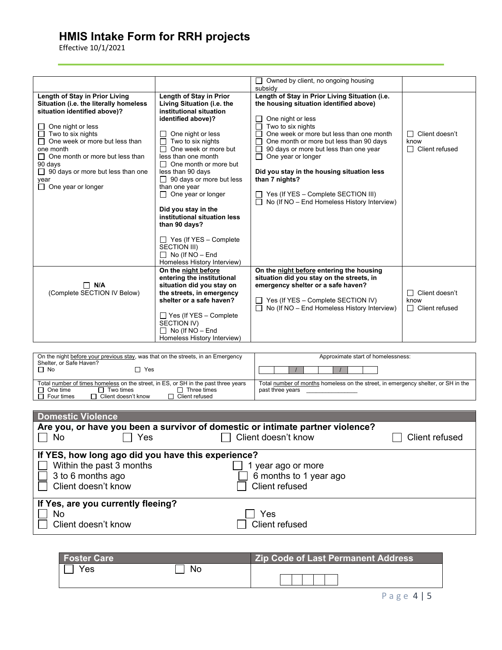Effective 10/1/2021

|                                          |                                 | Owned by client, no ongoing housing                |                     |
|------------------------------------------|---------------------------------|----------------------------------------------------|---------------------|
|                                          |                                 | subsidy                                            |                     |
| Length of Stay in Prior Living           | Length of Stay in Prior         | Length of Stay in Prior Living Situation (i.e.     |                     |
| Situation (i.e. the literally homeless   | Living Situation (i.e. the      | the housing situation identified above)            |                     |
| situation identified above)?             | institutional situation         |                                                    |                     |
|                                          | identified above)?              | One night or less                                  |                     |
| One night or less<br>П                   |                                 | $\Box$ Two to six nights                           |                     |
| $\Box$ Two to six nights                 | One night or less               | One week or more but less than one month<br>П      | Client doesn't<br>П |
| One week or more but less than           | Two to six nights               | $\Box$<br>One month or more but less than 90 days  | know                |
| one month                                | One week or more but            | 90 days or more but less than one year             | Client refused<br>П |
| $\Box$ One month or more but less than   | less than one month             | One year or longer<br>$\perp$                      |                     |
| 90 days                                  | $\Box$ One month or more but    |                                                    |                     |
| $\Box$ 90 days or more but less than one | less than 90 days               | Did you stay in the housing situation less         |                     |
| year                                     | $\Box$ 90 days or more but less | than 7 nights?                                     |                     |
| $\Box$ One year or longer                | than one year                   |                                                    |                     |
|                                          | $\Box$ One year or longer       | Yes (If YES - Complete SECTION III)                |                     |
|                                          |                                 | No (If NO - End Homeless History Interview)        |                     |
|                                          | Did you stay in the             |                                                    |                     |
|                                          | institutional situation less    |                                                    |                     |
|                                          | than 90 days?                   |                                                    |                     |
|                                          | $\Box$ Yes (If YES – Complete   |                                                    |                     |
|                                          | <b>SECTION III)</b>             |                                                    |                     |
|                                          | $\Box$ No (If NO – End          |                                                    |                     |
|                                          | Homeless History Interview)     |                                                    |                     |
|                                          | On the night before             | On the night before entering the housing           |                     |
|                                          | entering the institutional      | situation did you stay on the streets, in          |                     |
| $\Box$ N/A                               | situation did you stay on       | emergency shelter or a safe haven?                 |                     |
| (Complete SECTION IV Below)              | the streets, in emergency       |                                                    | Client doesn't<br>П |
|                                          | shelter or a safe haven?        | $\Box$ Yes (If YES – Complete SECTION IV)          | know                |
|                                          |                                 | $\Box$ No (If NO – End Homeless History Interview) | Client refused<br>П |
|                                          | $\Box$ Yes (If YES – Complete   |                                                    |                     |
|                                          | SECTION IV)                     |                                                    |                     |
|                                          | $\Box$ No (If NO – End          |                                                    |                     |
|                                          | Homeless History Interview)     |                                                    |                     |

| On the night before your previous stay, was that on the streets, in an Emergency<br>Shelter, or Safe Haven?                                                                                                   | Approximate start of homelessness:                                                                    |
|---------------------------------------------------------------------------------------------------------------------------------------------------------------------------------------------------------------|-------------------------------------------------------------------------------------------------------|
| $\Box$ No<br>Yes                                                                                                                                                                                              |                                                                                                       |
| Total number of times homeless on the street, in ES, or SH in the past three years<br>$\Box$ One time<br>Three times<br>Two times<br>$\Box$ Client doesn't know<br>$\Box$ Four times<br>$\Box$ Client refused | Total number of months homeless on the street, in emergency shelter, or SH in the<br>past three years |

| <b>Domestic Violence</b>                           |                                                                                |                |  |  |  |
|----------------------------------------------------|--------------------------------------------------------------------------------|----------------|--|--|--|
|                                                    | Are you, or have you been a survivor of domestic or intimate partner violence? |                |  |  |  |
| Yes<br>No                                          | Client doesn't know                                                            | Client refused |  |  |  |
| If YES, how long ago did you have this experience? |                                                                                |                |  |  |  |
| Within the past 3 months                           | year ago or more                                                               |                |  |  |  |
| 3 to 6 months ago                                  | 6 months to 1 year ago                                                         |                |  |  |  |
| Client doesn't know                                | Client refused                                                                 |                |  |  |  |
| If Yes, are you currently fleeing?                 |                                                                                |                |  |  |  |
| No.                                                | Yes                                                                            |                |  |  |  |
| Client doesn't know                                | Client refused                                                                 |                |  |  |  |

| <b>Foster Care</b> |    | <b>Zip Code of Last Permanent Address</b> |
|--------------------|----|-------------------------------------------|
| Yes                | Nc |                                           |